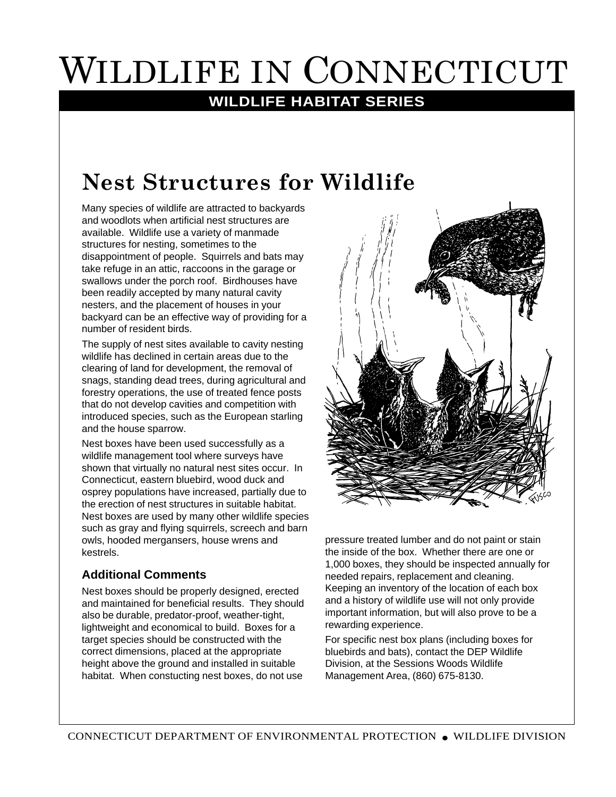# WILDLIFE IN CONNECTICUT

#### **WILDLIFE HABITAT SERIES**

## **Nest Structures for Wildlife**

Many species of wildlife are attracted to backyards and woodlots when artificial nest structures are available. Wildlife use a variety of manmade structures for nesting, sometimes to the disappointment of people. Squirrels and bats may take refuge in an attic, raccoons in the garage or swallows under the porch roof. Birdhouses have been readily accepted by many natural cavity nesters, and the placement of houses in your backyard can be an effective way of providing for a number of resident birds.

The supply of nest sites available to cavity nesting wildlife has declined in certain areas due to the clearing of land for development, the removal of snags, standing dead trees, during agricultural and forestry operations, the use of treated fence posts that do not develop cavities and competition with introduced species, such as the European starling and the house sparrow.

Nest boxes have been used successfully as a wildlife management tool where surveys have shown that virtually no natural nest sites occur. In Connecticut, eastern bluebird, wood duck and osprey populations have increased, partially due to the erection of nest structures in suitable habitat. Nest boxes are used by many other wildlife species such as gray and flying squirrels, screech and barn owls, hooded mergansers, house wrens and kestrels.

#### **Additional Comments**

Nest boxes should be properly designed, erected and maintained for beneficial results. They should also be durable, predator-proof, weather-tight, lightweight and economical to build. Boxes for a target species should be constructed with the correct dimensions, placed at the appropriate height above the ground and installed in suitable habitat. When constucting nest boxes, do not use



pressure treated lumber and do not paint or stain the inside of the box. Whether there are one or 1,000 boxes, they should be inspected annually for needed repairs, replacement and cleaning. Keeping an inventory of the location of each box and a history of wildlife use will not only provide important information, but will also prove to be a rewarding experience.

For specific nest box plans (including boxes for bluebirds and bats), contact the DEP Wildlife Division, at the Sessions Woods Wildlife Management Area, (860) 675-8130.